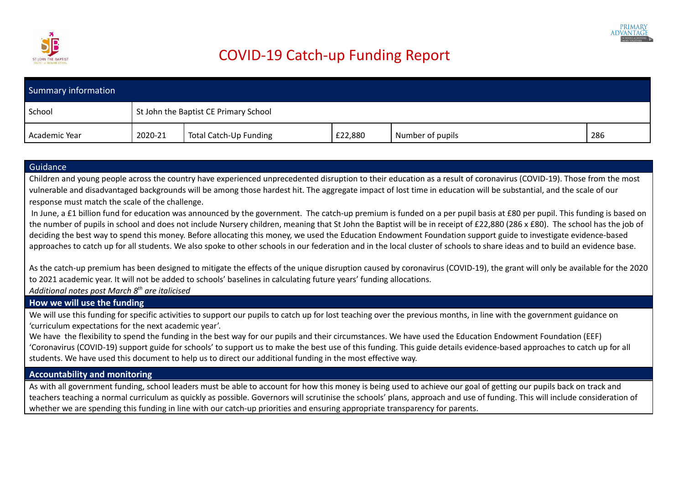

## COVID-19 Catch-up Funding Report

| Summary information |                                       |                        |         |                  |     |
|---------------------|---------------------------------------|------------------------|---------|------------------|-----|
| School              | St John the Baptist CE Primary School |                        |         |                  |     |
| Academic Year       | 2020-21                               | Total Catch-Up Funding | £22,880 | Number of pupils | 286 |

## Guidance

Children and young people across the country have experienced unprecedented disruption to their education as a result of coronavirus (COVID-19). Those from the most vulnerable and disadvantaged backgrounds will be among those hardest hit. The aggregate impact of lost time in education will be substantial, and the scale of our response must match the scale of the challenge.

In June, a £1 billion fund for education was announced by the government. The catch-up premium is funded on a per pupil basis at £80 per pupil. This funding is based on the number of pupils in school and does not include Nursery children, meaning that St John the Baptist will be in receipt of £22,880 (286 x £80). The school has the job of deciding the best way to spend this money. Before allocating this money, we used the Education Endowment Foundation support guide to investigate evidence-based approaches to catch up for all students. We also spoke to other schools in our federation and in the local cluster of schools to share ideas and to build an evidence base.

As the catch-up premium has been designed to mitigate the effects of the unique disruption caused by coronavirus (COVID-19), the grant will only be available for the 2020 to 2021 academic year. It will not be added to schools' baselines in calculating future years' funding allocations.

*Additional notes post March 8 th are italicised*

## **How we will use the funding**

We will use this funding for specific activities to support our pupils to catch up for lost teaching over the previous months, in line with the government guidance on 'curriculum expectations for the next academic year'.

We have the flexibility to spend the funding in the best way for our pupils and their circumstances. We have used the Education Endowment Foundation (EEF) 'Coronavirus (COVID-19) support guide for schools' to support us to make the best use of this funding. This guide details evidence-based approaches to catch up for all students. We have used this document to help us to direct our additional funding in the most effective way.

## **Accountability and monitoring**

As with all government funding, school leaders must be able to account for how this money is being used to achieve our goal of getting our pupils back on track and teachers teaching a normal curriculum as quickly as possible. Governors will scrutinise the schools' plans, approach and use of funding. This will include consideration of whether we are spending this funding in line with our catch-up priorities and ensuring appropriate transparency for parents.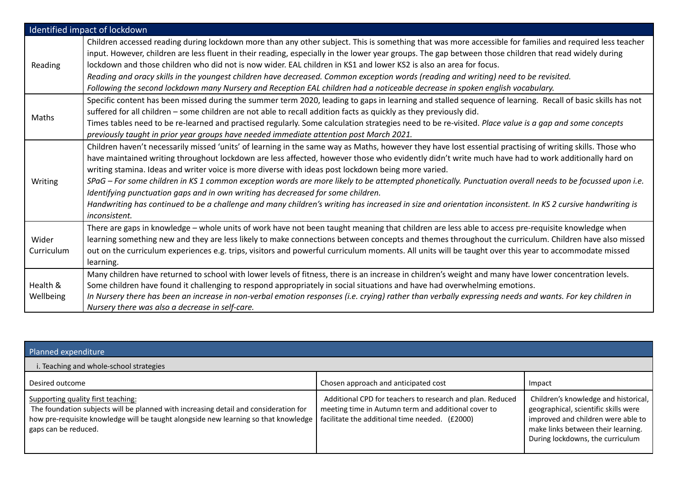|                       | Identified impact of lockdown                                                                                                                                                                                                                                                                                                                                                                                                                                                                                                                                                                                                                                                                                                                                                                                                                          |
|-----------------------|--------------------------------------------------------------------------------------------------------------------------------------------------------------------------------------------------------------------------------------------------------------------------------------------------------------------------------------------------------------------------------------------------------------------------------------------------------------------------------------------------------------------------------------------------------------------------------------------------------------------------------------------------------------------------------------------------------------------------------------------------------------------------------------------------------------------------------------------------------|
| Reading               | Children accessed reading during lockdown more than any other subject. This is something that was more accessible for families and required less teacher<br>input. However, children are less fluent in their reading, especially in the lower year groups. The gap between those children that read widely during<br>lockdown and those children who did not is now wider. EAL children in KS1 and lower KS2 is also an area for focus.<br>Reading and oracy skills in the youngest children have decreased. Common exception words (reading and writing) need to be revisited.                                                                                                                                                                                                                                                                       |
|                       | Following the second lockdown many Nursery and Reception EAL children had a noticeable decrease in spoken english vocabulary.                                                                                                                                                                                                                                                                                                                                                                                                                                                                                                                                                                                                                                                                                                                          |
| Maths                 | Specific content has been missed during the summer term 2020, leading to gaps in learning and stalled sequence of learning. Recall of basic skills has not<br>suffered for all children - some children are not able to recall addition facts as quickly as they previously did.<br>Times tables need to be re-learned and practised regularly. Some calculation strategies need to be re-visited. Place value is a gap and some concepts<br>previously taught in prior year groups have needed immediate attention post March 2021.                                                                                                                                                                                                                                                                                                                   |
| Writing               | Children haven't necessarily missed 'units' of learning in the same way as Maths, however they have lost essential practising of writing skills. Those who<br>have maintained writing throughout lockdown are less affected, however those who evidently didn't write much have had to work additionally hard on<br>writing stamina. Ideas and writer voice is more diverse with ideas post lockdown being more varied.<br>SPaG – For some children in KS 1 common exception words are more likely to be attempted phonetically. Punctuation overall needs to be focussed upon i.e.<br>Identifying punctuation gaps and in own writing has decreased for some children.<br>Handwriting has continued to be a challenge and many children's writing has increased in size and orientation inconsistent. In KS 2 cursive handwriting is<br>inconsistent. |
| Wider<br>Curriculum   | There are gaps in knowledge - whole units of work have not been taught meaning that children are less able to access pre-requisite knowledge when<br>learning something new and they are less likely to make connections between concepts and themes throughout the curriculum. Children have also missed<br>out on the curriculum experiences e.g. trips, visitors and powerful curriculum moments. All units will be taught over this year to accommodate missed<br>learning.                                                                                                                                                                                                                                                                                                                                                                        |
| Health &<br>Wellbeing | Many children have returned to school with lower levels of fitness, there is an increase in children's weight and many have lower concentration levels.<br>Some children have found it challenging to respond appropriately in social situations and have had overwhelming emotions.<br>In Nursery there has been an increase in non-verbal emotion responses (i.e. crying) rather than verbally expressing needs and wants. For key children in<br>Nursery there was also a decrease in self-care.                                                                                                                                                                                                                                                                                                                                                    |

| Planned expenditure                                                                                                                                                                                                                       |                                                                                                                                                                    |                                                                                                                                                                                              |  |
|-------------------------------------------------------------------------------------------------------------------------------------------------------------------------------------------------------------------------------------------|--------------------------------------------------------------------------------------------------------------------------------------------------------------------|----------------------------------------------------------------------------------------------------------------------------------------------------------------------------------------------|--|
| i. Teaching and whole-school strategies                                                                                                                                                                                                   |                                                                                                                                                                    |                                                                                                                                                                                              |  |
| Desired outcome                                                                                                                                                                                                                           | Chosen approach and anticipated cost                                                                                                                               | Impact                                                                                                                                                                                       |  |
| Supporting quality first teaching:<br>The foundation subjects will be planned with increasing detail and consideration for<br>how pre-requisite knowledge will be taught alongside new learning so that knowledge<br>gaps can be reduced. | Additional CPD for teachers to research and plan. Reduced<br>meeting time in Autumn term and additional cover to<br>facilitate the additional time needed. (£2000) | Children's knowledge and historical,<br>geographical, scientific skills were<br>improved and children were able to<br>make links between their learning.<br>During lockdowns, the curriculum |  |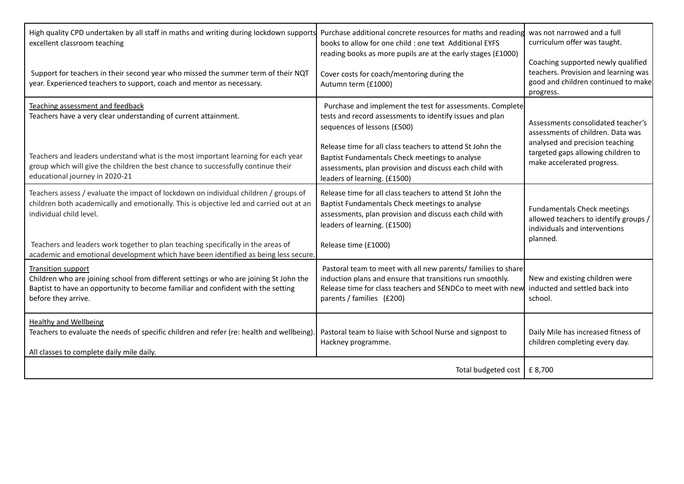| High quality CPD undertaken by all staff in maths and writing during lockdown supports Purchase additional concrete resources for maths and reading<br>excellent classroom teaching                                            | books to allow for one child : one text Additional EYFS<br>reading books as more pupils are at the early stages (£1000)                                                                                                | was not narrowed and a full<br>curriculum offer was taught.<br>Coaching supported newly qualified                        |  |
|--------------------------------------------------------------------------------------------------------------------------------------------------------------------------------------------------------------------------------|------------------------------------------------------------------------------------------------------------------------------------------------------------------------------------------------------------------------|--------------------------------------------------------------------------------------------------------------------------|--|
| Support for teachers in their second year who missed the summer term of their NQT<br>year. Experienced teachers to support, coach and mentor as necessary.                                                                     | Cover costs for coach/mentoring during the<br>Autumn term (£1000)                                                                                                                                                      | teachers. Provision and learning was<br>good and children continued to make<br>progress.                                 |  |
| Teaching assessment and feedback<br>Teachers have a very clear understanding of current attainment.                                                                                                                            | Purchase and implement the test for assessments. Complete<br>tests and record assessments to identify issues and plan<br>sequences of lessons (£500)                                                                   | Assessments consolidated teacher's<br>assessments of children. Data was                                                  |  |
| Teachers and leaders understand what is the most important learning for each year<br>group which will give the children the best chance to successfully continue their<br>educational journey in 2020-21                       | Release time for all class teachers to attend St John the<br>Baptist Fundamentals Check meetings to analyse<br>assessments, plan provision and discuss each child with<br>leaders of learning. (£1500)                 | analysed and precision teaching<br>targeted gaps allowing children to<br>make accelerated progress.                      |  |
| Teachers assess / evaluate the impact of lockdown on individual children / groups of<br>children both academically and emotionally. This is objective led and carried out at an<br>individual child level.                     | Release time for all class teachers to attend St John the<br>Baptist Fundamentals Check meetings to analyse<br>assessments, plan provision and discuss each child with<br>leaders of learning. (£1500)                 | <b>Fundamentals Check meetings</b><br>allowed teachers to identify groups /<br>individuals and interventions<br>planned. |  |
| Teachers and leaders work together to plan teaching specifically in the areas of<br>academic and emotional development which have been identified as being less secure.                                                        | Release time (£1000)                                                                                                                                                                                                   |                                                                                                                          |  |
| <b>Transition support</b><br>Children who are joining school from different settings or who are joining St John the<br>Baptist to have an opportunity to become familiar and confident with the setting<br>before they arrive. | Pastoral team to meet with all new parents/ families to share<br>induction plans and ensure that transitions run smoothly.<br>Release time for class teachers and SENDCo to meet with new<br>parents / families (£200) | New and existing children were<br>inducted and settled back into<br>school.                                              |  |
| <b>Healthy and Wellbeing</b><br>Teachers to evaluate the needs of specific children and refer (re: health and wellbeing)<br>All classes to complete daily mile daily.                                                          | Pastoral team to liaise with School Nurse and signpost to<br>Hackney programme.                                                                                                                                        | Daily Mile has increased fitness of<br>children completing every day.                                                    |  |
|                                                                                                                                                                                                                                | Total budgeted cost   £ 8,700                                                                                                                                                                                          |                                                                                                                          |  |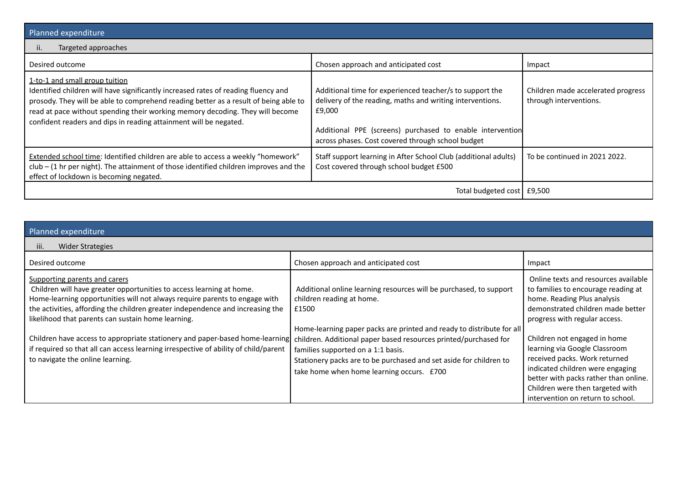| Planned expenditure                                                                                                                                                                                                                                                                                                                                                |                                                                                                                                                                                                                                                   |                                                              |  |
|--------------------------------------------------------------------------------------------------------------------------------------------------------------------------------------------------------------------------------------------------------------------------------------------------------------------------------------------------------------------|---------------------------------------------------------------------------------------------------------------------------------------------------------------------------------------------------------------------------------------------------|--------------------------------------------------------------|--|
| Targeted approaches<br>ii.                                                                                                                                                                                                                                                                                                                                         |                                                                                                                                                                                                                                                   |                                                              |  |
| Desired outcome                                                                                                                                                                                                                                                                                                                                                    | Chosen approach and anticipated cost                                                                                                                                                                                                              | Impact                                                       |  |
| 1-to-1 and small group tuition<br>Identified children will have significantly increased rates of reading fluency and<br>prosody. They will be able to comprehend reading better as a result of being able to<br>read at pace without spending their working memory decoding. They will become<br>confident readers and dips in reading attainment will be negated. | Additional time for experienced teacher/s to support the<br>delivery of the reading, maths and writing interventions.<br>£9,000<br>Additional PPE (screens) purchased to enable intervention<br>across phases. Cost covered through school budget | Children made accelerated progress<br>through interventions. |  |
| <b>Extended school time: Identified children are able to access a weekly "homework"</b><br>$club - (1 hr per night)$ . The attainment of those identified children improves and the<br>effect of lockdown is becoming negated.                                                                                                                                     | Staff support learning in After School Club (additional adults)<br>Cost covered through school budget £500                                                                                                                                        | To be continued in 2021 2022.                                |  |
|                                                                                                                                                                                                                                                                                                                                                                    | Total budgeted cost   £9,500                                                                                                                                                                                                                      |                                                              |  |

| Planned expenditure                                                                                                                                                                                                                                                                                                                                                                                                                                                                                                                    |                                                                                                                                                                                                                                                                                                                                                                                                                |                                                                                                                                                                                                                                                                                                                        |  |
|----------------------------------------------------------------------------------------------------------------------------------------------------------------------------------------------------------------------------------------------------------------------------------------------------------------------------------------------------------------------------------------------------------------------------------------------------------------------------------------------------------------------------------------|----------------------------------------------------------------------------------------------------------------------------------------------------------------------------------------------------------------------------------------------------------------------------------------------------------------------------------------------------------------------------------------------------------------|------------------------------------------------------------------------------------------------------------------------------------------------------------------------------------------------------------------------------------------------------------------------------------------------------------------------|--|
| Wider Strategies<br>iii.                                                                                                                                                                                                                                                                                                                                                                                                                                                                                                               |                                                                                                                                                                                                                                                                                                                                                                                                                |                                                                                                                                                                                                                                                                                                                        |  |
| Desired outcome                                                                                                                                                                                                                                                                                                                                                                                                                                                                                                                        | Chosen approach and anticipated cost                                                                                                                                                                                                                                                                                                                                                                           | Impact                                                                                                                                                                                                                                                                                                                 |  |
| Supporting parents and carers<br>Children will have greater opportunities to access learning at home.<br>Home-learning opportunities will not always require parents to engage with<br>the activities, affording the children greater independence and increasing the<br>likelihood that parents can sustain home learning.<br>Children have access to appropriate stationery and paper-based home-learning<br>if required so that all can access learning irrespective of ability of child/parent<br>to navigate the online learning. | Additional online learning resources will be purchased, to support<br>children reading at home.<br>£1500<br>Home-learning paper packs are printed and ready to distribute for all<br>children. Additional paper based resources printed/purchased for<br>families supported on a 1:1 basis.<br>Stationery packs are to be purchased and set aside for children to<br>take home when home learning occurs. £700 | Online texts and resources available<br>to families to encourage reading at<br>home. Reading Plus analysis<br>demonstrated children made better<br>progress with regular access.<br>Children not engaged in home<br>learning via Google Classroom<br>received packs. Work returned<br>indicated children were engaging |  |
|                                                                                                                                                                                                                                                                                                                                                                                                                                                                                                                                        |                                                                                                                                                                                                                                                                                                                                                                                                                | better with packs rather than online.<br>Children were then targeted with<br>intervention on return to school.                                                                                                                                                                                                         |  |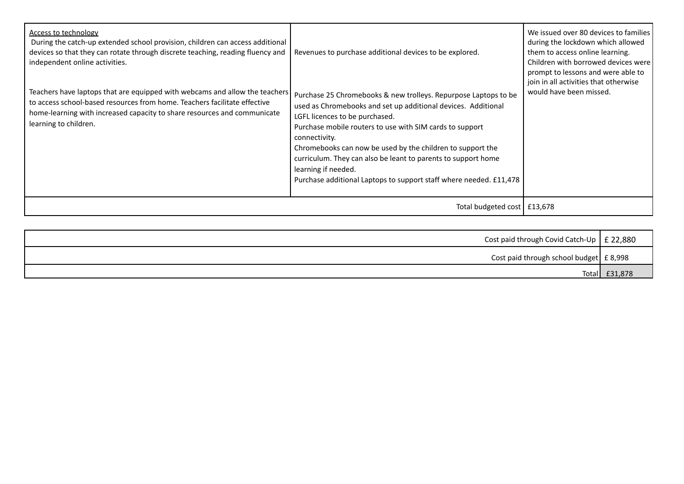| Access to technology<br>During the catch-up extended school provision, children can access additional<br>devices so that they can rotate through discrete teaching, reading fluency and<br>independent online activities.<br>Teachers have laptops that are equipped with webcams and allow the teachers<br>to access school-based resources from home. Teachers facilitate effective<br>home-learning with increased capacity to share resources and communicate<br>learning to children. | Revenues to purchase additional devices to be explored.<br>Purchase 25 Chromebooks & new trolleys. Repurpose Laptops to be<br>used as Chromebooks and set up additional devices. Additional<br>LGFL licences to be purchased.<br>Purchase mobile routers to use with SIM cards to support<br>connectivity.<br>Chromebooks can now be used by the children to support the<br>curriculum. They can also be leant to parents to support home<br>learning if needed.<br>Purchase additional Laptops to support staff where needed. £11,478 | We issued over 80 devices to families<br>during the lockdown which allowed<br>them to access online learning.<br>Children with borrowed devices were<br>prompt to lessons and were able to<br>join in all activities that otherwise<br>would have been missed. |
|--------------------------------------------------------------------------------------------------------------------------------------------------------------------------------------------------------------------------------------------------------------------------------------------------------------------------------------------------------------------------------------------------------------------------------------------------------------------------------------------|----------------------------------------------------------------------------------------------------------------------------------------------------------------------------------------------------------------------------------------------------------------------------------------------------------------------------------------------------------------------------------------------------------------------------------------------------------------------------------------------------------------------------------------|----------------------------------------------------------------------------------------------------------------------------------------------------------------------------------------------------------------------------------------------------------------|
|                                                                                                                                                                                                                                                                                                                                                                                                                                                                                            | Total budgeted cost   £13,678                                                                                                                                                                                                                                                                                                                                                                                                                                                                                                          |                                                                                                                                                                                                                                                                |

| Cost paid through Covid Catch-Up $\vert$ £ 22,880 |         |
|---------------------------------------------------|---------|
| Cost paid through school budget $\pm 8,998$       |         |
| Totall                                            | £31,878 |